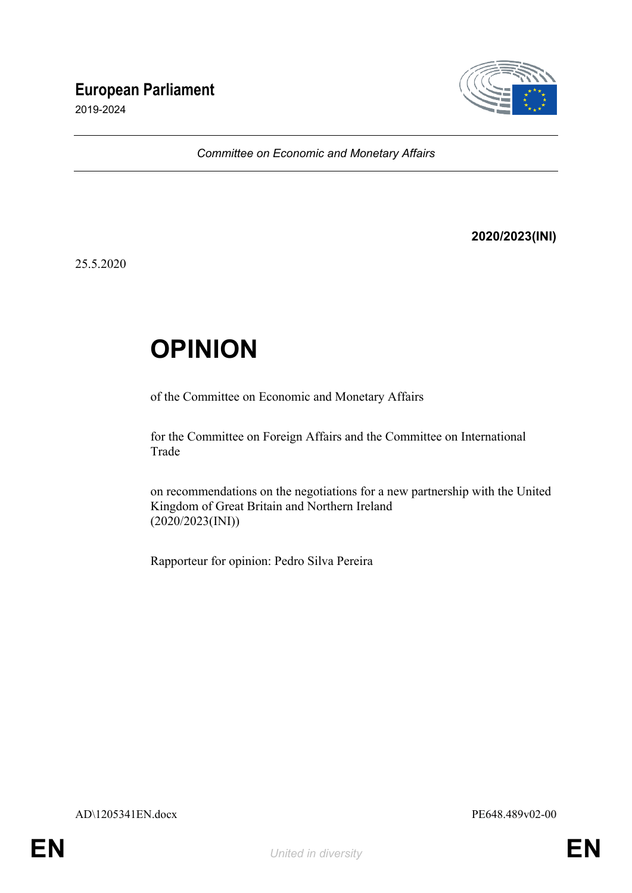## **European Parliament**

2019-2024



*Committee on Economic and Monetary Affairs*

#### **2020/2023(INI)**

25.5.2020

# **OPINION**

of the Committee on Economic and Monetary Affairs

for the Committee on Foreign Affairs and the Committee on International Trade

on recommendations on the negotiations for a new partnership with the United Kingdom of Great Britain and Northern Ireland (2020/2023(INI))

Rapporteur for opinion: Pedro Silva Pereira

AD\1205341EN.docx PE648.489v02-00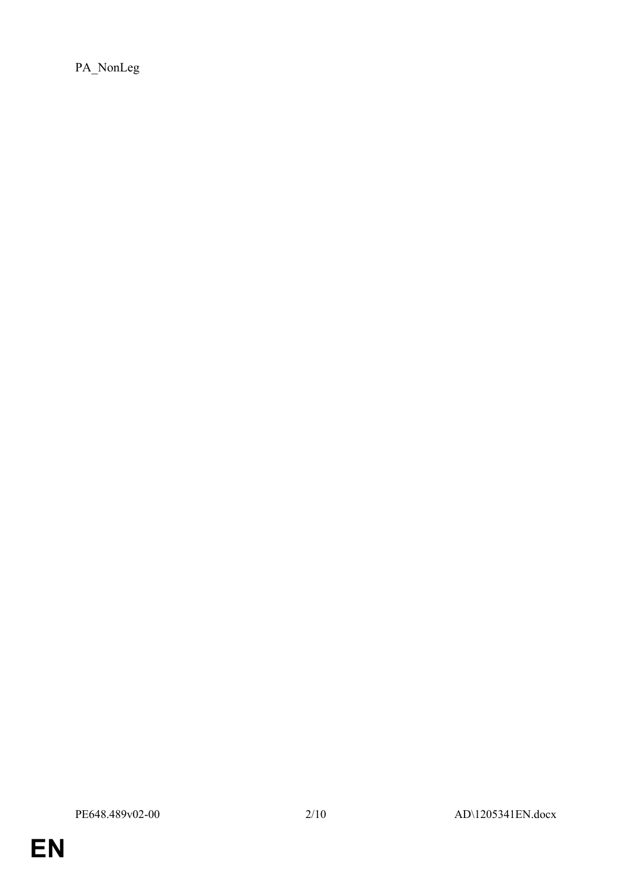PA\_NonLeg

**EN**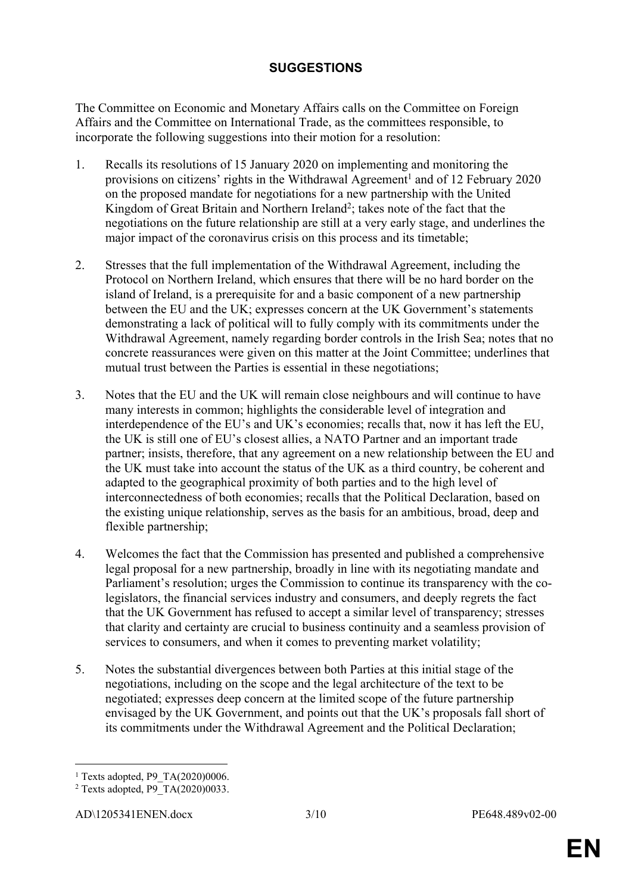### **SUGGESTIONS**

The Committee on Economic and Monetary Affairs calls on the Committee on Foreign Affairs and the Committee on International Trade, as the committees responsible, to incorporate the following suggestions into their motion for a resolution:

- 1. Recalls its resolutions of 15 January 2020 on implementing and monitoring the provisions on citizens' rights in the Withdrawal Agreement<sup>1</sup> and of 12 February 2020 on the proposed mandate for negotiations for a new partnership with the United Kingdom of Great Britain and Northern Ireland<sup>2</sup>; takes note of the fact that the negotiations on the future relationship are still at a very early stage, and underlines the major impact of the coronavirus crisis on this process and its timetable;
- 2. Stresses that the full implementation of the Withdrawal Agreement, including the Protocol on Northern Ireland, which ensures that there will be no hard border on the island of Ireland, is a prerequisite for and a basic component of a new partnership between the EU and the UK; expresses concern at the UK Government's statements demonstrating a lack of political will to fully comply with its commitments under the Withdrawal Agreement, namely regarding border controls in the Irish Sea; notes that no concrete reassurances were given on this matter at the Joint Committee; underlines that mutual trust between the Parties is essential in these negotiations;
- 3. Notes that the EU and the UK will remain close neighbours and will continue to have many interests in common; highlights the considerable level of integration and interdependence of the EU's and UK's economies; recalls that, now it has left the EU, the UK is still one of EU's closest allies, a NATO Partner and an important trade partner; insists, therefore, that any agreement on a new relationship between the EU and the UK must take into account the status of the UK as a third country, be coherent and adapted to the geographical proximity of both parties and to the high level of interconnectedness of both economies; recalls that the Political Declaration, based on the existing unique relationship, serves as the basis for an ambitious, broad, deep and flexible partnership;
- 4. Welcomes the fact that the Commission has presented and published a comprehensive legal proposal for a new partnership, broadly in line with its negotiating mandate and Parliament's resolution; urges the Commission to continue its transparency with the colegislators, the financial services industry and consumers, and deeply regrets the fact that the UK Government has refused to accept a similar level of transparency; stresses that clarity and certainty are crucial to business continuity and a seamless provision of services to consumers, and when it comes to preventing market volatility;
- 5. Notes the substantial divergences between both Parties at this initial stage of the negotiations, including on the scope and the legal architecture of the text to be negotiated; expresses deep concern at the limited scope of the future partnership envisaged by the UK Government, and points out that the UK's proposals fall short of its commitments under the Withdrawal Agreement and the Political Declaration;

<sup>&</sup>lt;sup>1</sup> Texts adopted, P9 TA(2020)0006.

<sup>2</sup> Texts adopted, P9\_TA(2020)0033.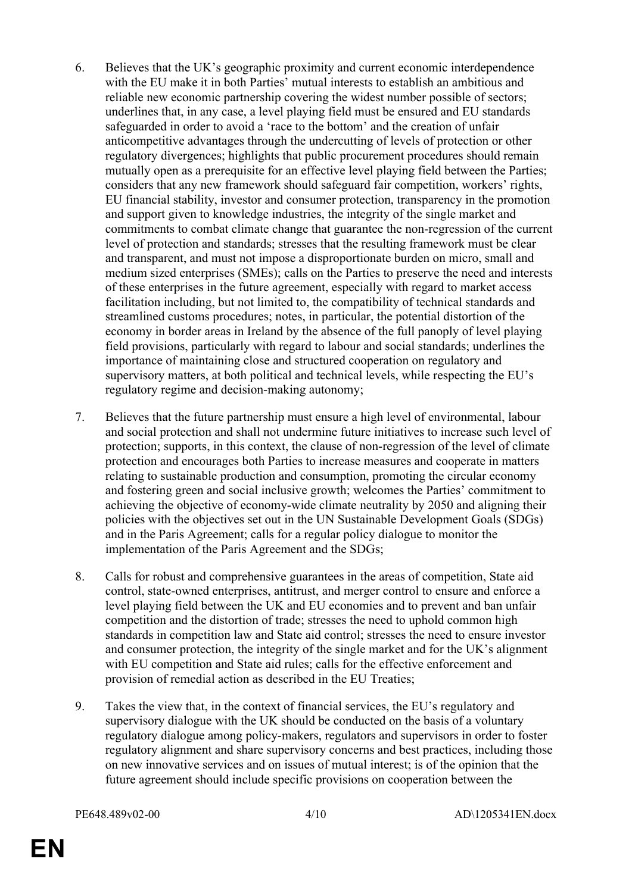- 6. Believes that the UK's geographic proximity and current economic interdependence with the EU make it in both Parties' mutual interests to establish an ambitious and reliable new economic partnership covering the widest number possible of sectors; underlines that, in any case, a level playing field must be ensured and EU standards safeguarded in order to avoid a 'race to the bottom' and the creation of unfair anticompetitive advantages through the undercutting of levels of protection or other regulatory divergences; highlights that public procurement procedures should remain mutually open as a prerequisite for an effective level playing field between the Parties; considers that any new framework should safeguard fair competition, workers' rights, EU financial stability, investor and consumer protection, transparency in the promotion and support given to knowledge industries, the integrity of the single market and commitments to combat climate change that guarantee the non-regression of the current level of protection and standards; stresses that the resulting framework must be clear and transparent, and must not impose a disproportionate burden on micro, small and medium sized enterprises (SMEs); calls on the Parties to preserve the need and interests of these enterprises in the future agreement, especially with regard to market access facilitation including, but not limited to, the compatibility of technical standards and streamlined customs procedures; notes, in particular, the potential distortion of the economy in border areas in Ireland by the absence of the full panoply of level playing field provisions, particularly with regard to labour and social standards; underlines the importance of maintaining close and structured cooperation on regulatory and supervisory matters, at both political and technical levels, while respecting the EU's regulatory regime and decision-making autonomy;
- 7. Believes that the future partnership must ensure a high level of environmental, labour and social protection and shall not undermine future initiatives to increase such level of protection; supports, in this context, the clause of non-regression of the level of climate protection and encourages both Parties to increase measures and cooperate in matters relating to sustainable production and consumption, promoting the circular economy and fostering green and social inclusive growth; welcomes the Parties' commitment to achieving the objective of economy-wide climate neutrality by 2050 and aligning their policies with the objectives set out in the UN Sustainable Development Goals (SDGs) and in the Paris Agreement; calls for a regular policy dialogue to monitor the implementation of the Paris Agreement and the SDGs;
- 8. Calls for robust and comprehensive guarantees in the areas of competition, State aid control, state-owned enterprises, antitrust, and merger control to ensure and enforce a level playing field between the UK and EU economies and to prevent and ban unfair competition and the distortion of trade; stresses the need to uphold common high standards in competition law and State aid control; stresses the need to ensure investor and consumer protection, the integrity of the single market and for the UK's alignment with EU competition and State aid rules; calls for the effective enforcement and provision of remedial action as described in the EU Treaties;
- 9. Takes the view that, in the context of financial services, the EU's regulatory and supervisory dialogue with the UK should be conducted on the basis of a voluntary regulatory dialogue among policy-makers, regulators and supervisors in order to foster regulatory alignment and share supervisory concerns and best practices, including those on new innovative services and on issues of mutual interest; is of the opinion that the future agreement should include specific provisions on cooperation between the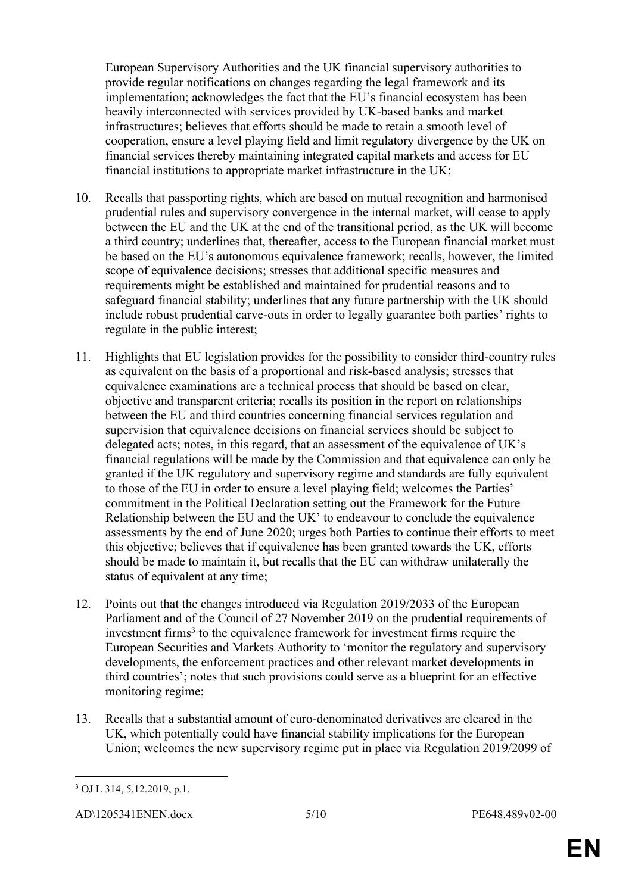European Supervisory Authorities and the UK financial supervisory authorities to provide regular notifications on changes regarding the legal framework and its implementation; acknowledges the fact that the EU's financial ecosystem has been heavily interconnected with services provided by UK-based banks and market infrastructures; believes that efforts should be made to retain a smooth level of cooperation, ensure a level playing field and limit regulatory divergence by the UK on financial services thereby maintaining integrated capital markets and access for EU financial institutions to appropriate market infrastructure in the UK;

- 10. Recalls that passporting rights, which are based on mutual recognition and harmonised prudential rules and supervisory convergence in the internal market, will cease to apply between the EU and the UK at the end of the transitional period, as the UK will become a third country; underlines that, thereafter, access to the European financial market must be based on the EU's autonomous equivalence framework; recalls, however, the limited scope of equivalence decisions; stresses that additional specific measures and requirements might be established and maintained for prudential reasons and to safeguard financial stability; underlines that any future partnership with the UK should include robust prudential carve-outs in order to legally guarantee both parties' rights to regulate in the public interest;
- 11. Highlights that EU legislation provides for the possibility to consider third-country rules as equivalent on the basis of a proportional and risk-based analysis; stresses that equivalence examinations are a technical process that should be based on clear, objective and transparent criteria; recalls its position in the report on relationships between the EU and third countries concerning financial services regulation and supervision that equivalence decisions on financial services should be subject to delegated acts; notes, in this regard, that an assessment of the equivalence of UK's financial regulations will be made by the Commission and that equivalence can only be granted if the UK regulatory and supervisory regime and standards are fully equivalent to those of the EU in order to ensure a level playing field; welcomes the Parties' commitment in the Political Declaration setting out the Framework for the Future Relationship between the EU and the UK' to endeavour to conclude the equivalence assessments by the end of June 2020; urges both Parties to continue their efforts to meet this objective; believes that if equivalence has been granted towards the UK, efforts should be made to maintain it, but recalls that the EU can withdraw unilaterally the status of equivalent at any time;
- 12. Points out that the changes introduced via Regulation 2019/2033 of the European Parliament and of the Council of 27 November 2019 on the prudential requirements of investment firms<sup>3</sup> to the equivalence framework for investment firms require the European Securities and Markets Authority to 'monitor the regulatory and supervisory developments, the enforcement practices and other relevant market developments in third countries'; notes that such provisions could serve as a blueprint for an effective monitoring regime;
- 13. Recalls that a substantial amount of euro-denominated derivatives are cleared in the UK, which potentially could have financial stability implications for the European Union; welcomes the new supervisory regime put in place via Regulation 2019/2099 of

<sup>3</sup> OJ L 314, 5.12.2019, p.1.

AD\1205341ENEN.docx 5/10 PE648.489v02-00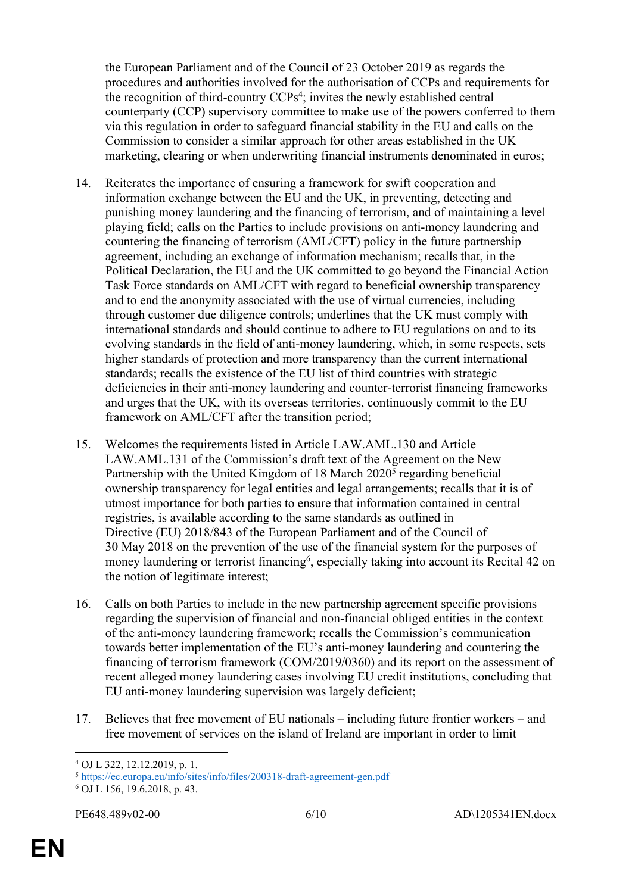the European Parliament and of the Council of 23 October 2019 as regards the procedures and authorities involved for the authorisation of CCPs and requirements for the recognition of third-country CCPs<sup>4</sup>; invites the newly established central counterparty (CCP) supervisory committee to make use of the powers conferred to them via this regulation in order to safeguard financial stability in the EU and calls on the Commission to consider a similar approach for other areas established in the UK marketing, clearing or when underwriting financial instruments denominated in euros;

- 14. Reiterates the importance of ensuring a framework for swift cooperation and information exchange between the EU and the UK, in preventing, detecting and punishing money laundering and the financing of terrorism, and of maintaining a level playing field; calls on the Parties to include provisions on anti-money laundering and countering the financing of terrorism (AML/CFT) policy in the future partnership agreement, including an exchange of information mechanism; recalls that, in the Political Declaration, the EU and the UK committed to go beyond the Financial Action Task Force standards on AML/CFT with regard to beneficial ownership transparency and to end the anonymity associated with the use of virtual currencies, including through customer due diligence controls; underlines that the UK must comply with international standards and should continue to adhere to EU regulations on and to its evolving standards in the field of anti-money laundering, which, in some respects, sets higher standards of protection and more transparency than the current international standards; recalls the existence of the EU list of third countries with strategic deficiencies in their anti-money laundering and counter-terrorist financing frameworks and urges that the UK, with its overseas territories, continuously commit to the EU framework on AML/CFT after the transition period;
- 15. Welcomes the requirements listed in Article LAW.AML.130 and Article LAW.AML.131 of the Commission's draft text of the Agreement on the New Partnership with the United Kingdom of 18 March 2020<sup>5</sup> regarding beneficial ownership transparency for legal entities and legal arrangements; recalls that it is of utmost importance for both parties to ensure that information contained in central registries, is available according to the same standards as outlined in Directive (EU) 2018/843 of the European Parliament and of the Council of 30 May 2018 on the prevention of the use of the financial system for the purposes of money laundering or terrorist financing<sup>6</sup>, especially taking into account its Recital 42 on the notion of legitimate interest;
- 16. Calls on both Parties to include in the new partnership agreement specific provisions regarding the supervision of financial and non-financial obliged entities in the context of the anti-money laundering framework; recalls the Commission's communication towards better implementation of the EU's anti-money laundering and countering the financing of terrorism framework (COM/2019/0360) and its report on the assessment of recent alleged money laundering cases involving EU credit institutions, concluding that EU anti-money laundering supervision was largely deficient;
- 17. Believes that free movement of EU nationals including future frontier workers and free movement of services on the island of Ireland are important in order to limit

<sup>4</sup> OJ L 322, 12.12.2019, p. 1.

<sup>5</sup> <https://ec.europa.eu/info/sites/info/files/200318-draft-agreement-gen.pdf>

<sup>6</sup> OJ L 156, 19.6.2018, p. 43.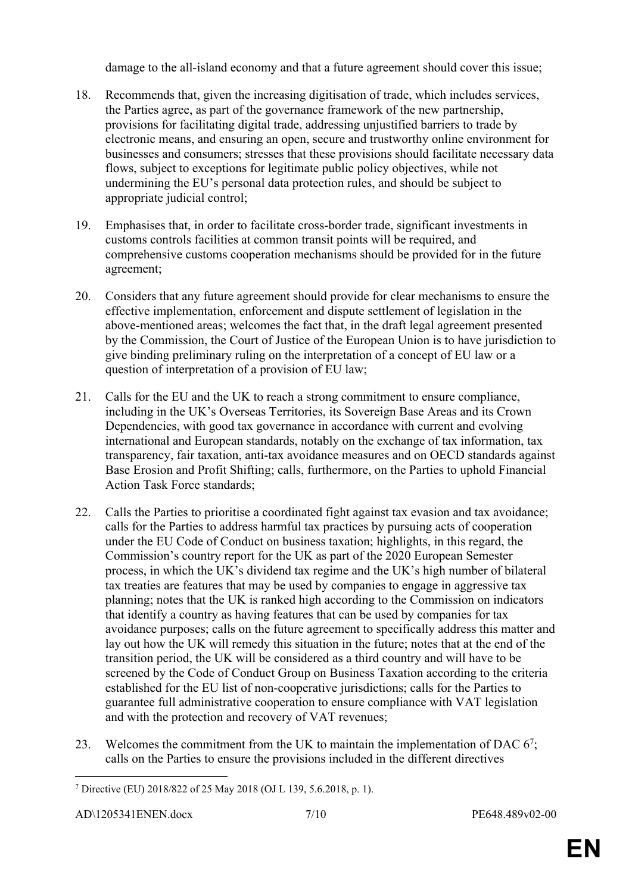damage to the all-island economy and that a future agreement should cover this issue;

- 18. Recommends that, given the increasing digitisation of trade, which includes services, the Parties agree, as part of the governance framework of the new partnership, provisions for facilitating digital trade, addressing unjustified barriers to trade by electronic means, and ensuring an open, secure and trustworthy online environment for businesses and consumers; stresses that these provisions should facilitate necessary data flows, subject to exceptions for legitimate public policy objectives, while not undermining the EU's personal data protection rules, and should be subject to appropriate judicial control;
- 19. Emphasises that, in order to facilitate cross-border trade, significant investments in customs controls facilities at common transit points will be required, and comprehensive customs cooperation mechanisms should be provided for in the future agreement;
- 20. Considers that any future agreement should provide for clear mechanisms to ensure the effective implementation, enforcement and dispute settlement of legislation in the above-mentioned areas; welcomes the fact that, in the draft legal agreement presented by the Commission, the Court of Justice of the European Union is to have jurisdiction to give binding preliminary ruling on the interpretation of a concept of EU law or a question of interpretation of a provision of EU law;
- 21. Calls for the EU and the UK to reach a strong commitment to ensure compliance, including in the UK's Overseas Territories, its Sovereign Base Areas and its Crown Dependencies, with good tax governance in accordance with current and evolving international and European standards, notably on the exchange of tax information, tax transparency, fair taxation, anti-tax avoidance measures and on OECD standards against Base Erosion and Profit Shifting; calls, furthermore, on the Parties to uphold Financial Action Task Force standards;
- 22. Calls the Parties to prioritise a coordinated fight against tax evasion and tax avoidance; calls for the Parties to address harmful tax practices by pursuing acts of cooperation under the EU Code of Conduct on business taxation; highlights, in this regard, the Commission's country report for the UK as part of the 2020 European Semester process, in which the UK's dividend tax regime and the UK's high number of bilateral tax treaties are features that may be used by companies to engage in aggressive tax planning; notes that the UK is ranked high according to the Commission on indicators that identify a country as having features that can be used by companies for tax avoidance purposes; calls on the future agreement to specifically address this matter and lay out how the UK will remedy this situation in the future; notes that at the end of the transition period, the UK will be considered as a third country and will have to be screened by the Code of Conduct Group on Business Taxation according to the criteria established for the EU list of non-cooperative jurisdictions; calls for the Parties to guarantee full administrative cooperation to ensure compliance with VAT legislation and with the protection and recovery of VAT revenues;
- 23. Welcomes the commitment from the UK to maintain the implementation of DAC  $6^7$ ; calls on the Parties to ensure the provisions included in the different directives

<sup>7</sup> Directive (EU) 2018/822 of 25 May 2018 (OJ L 139, 5.6.2018, p. 1).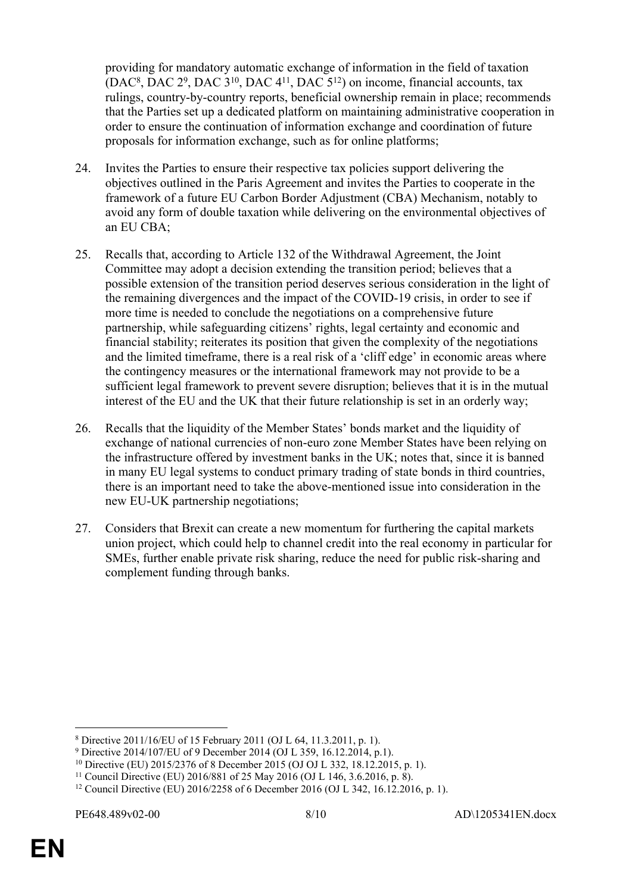providing for mandatory automatic exchange of information in the field of taxation  $(DAC<sup>8</sup>, DAC 2<sup>9</sup>, DAC 3<sup>10</sup>, DAC 4<sup>11</sup>, DAC 5<sup>12</sup>)$  on income, financial accounts, tax rulings, country-by-country reports, beneficial ownership remain in place; recommends that the Parties set up a dedicated platform on maintaining administrative cooperation in order to ensure the continuation of information exchange and coordination of future proposals for information exchange, such as for online platforms;

- 24. Invites the Parties to ensure their respective tax policies support delivering the objectives outlined in the Paris Agreement and invites the Parties to cooperate in the framework of a future EU Carbon Border Adjustment (CBA) Mechanism, notably to avoid any form of double taxation while delivering on the environmental objectives of an EU CBA;
- 25. Recalls that, according to Article 132 of the Withdrawal Agreement, the Joint Committee may adopt a decision extending the transition period; believes that a possible extension of the transition period deserves serious consideration in the light of the remaining divergences and the impact of the COVID-19 crisis, in order to see if more time is needed to conclude the negotiations on a comprehensive future partnership, while safeguarding citizens' rights, legal certainty and economic and financial stability; reiterates its position that given the complexity of the negotiations and the limited timeframe, there is a real risk of a 'cliff edge' in economic areas where the contingency measures or the international framework may not provide to be a sufficient legal framework to prevent severe disruption; believes that it is in the mutual interest of the EU and the UK that their future relationship is set in an orderly way;
- 26. Recalls that the liquidity of the Member States' bonds market and the liquidity of exchange of national currencies of non-euro zone Member States have been relying on the infrastructure offered by investment banks in the UK; notes that, since it is banned in many EU legal systems to conduct primary trading of state bonds in third countries, there is an important need to take the above-mentioned issue into consideration in the new EU-UK partnership negotiations;
- 27. Considers that Brexit can create a new momentum for furthering the capital markets union project, which could help to channel credit into the real economy in particular for SMEs, further enable private risk sharing, reduce the need for public risk-sharing and complement funding through banks.

<sup>8</sup> Directive 2011/16/EU of 15 February 2011 (OJ L 64, 11.3.2011, p. 1).

<sup>9</sup> Directive 2014/107/EU of 9 December 2014 (OJ L 359, 16.12.2014, p.1).

<sup>10</sup> Directive (EU) 2015/2376 of 8 December 2015 (OJ OJ L 332, 18.12.2015, p. 1).

<sup>11</sup> Council Directive (EU) 2016/881 of 25 May 2016 (OJ L 146, 3.6.2016, p. 8).

<sup>12</sup> Council Directive (EU) 2016/2258 of 6 December 2016 (OJ L 342, 16.12.2016, p. 1).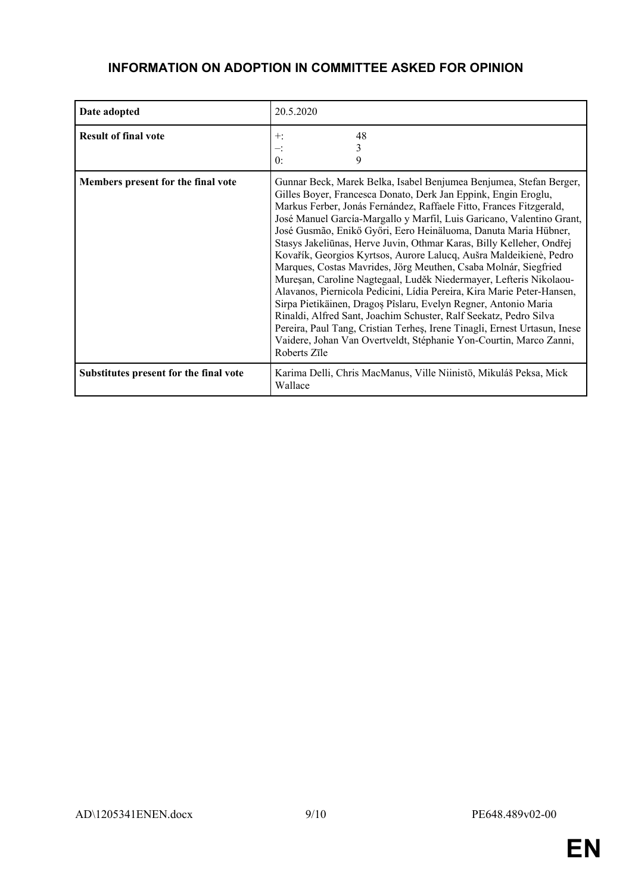#### **INFORMATION ON ADOPTION IN COMMITTEE ASKED FOR OPINION**

| Date adopted                           | 20.5.2020                                                                                                                                                                                                                                                                                                                                                                                                                                                                                                                                                                                                                                                                                                                                                                                                                                                                                                                                                                                                                           |
|----------------------------------------|-------------------------------------------------------------------------------------------------------------------------------------------------------------------------------------------------------------------------------------------------------------------------------------------------------------------------------------------------------------------------------------------------------------------------------------------------------------------------------------------------------------------------------------------------------------------------------------------------------------------------------------------------------------------------------------------------------------------------------------------------------------------------------------------------------------------------------------------------------------------------------------------------------------------------------------------------------------------------------------------------------------------------------------|
| <b>Result of final vote</b>            | 48<br>$+$ :<br>3<br>≕<br>0:<br>9                                                                                                                                                                                                                                                                                                                                                                                                                                                                                                                                                                                                                                                                                                                                                                                                                                                                                                                                                                                                    |
| Members present for the final vote     | Gunnar Beck, Marek Belka, Isabel Benjumea Benjumea, Stefan Berger,<br>Gilles Boyer, Francesca Donato, Derk Jan Eppink, Engin Eroglu,<br>Markus Ferber, Jonás Fernández, Raffaele Fitto, Frances Fitzgerald,<br>José Manuel García-Margallo y Marfil, Luis Garicano, Valentino Grant,<br>José Gusmão, Enikő Győri, Eero Heinäluoma, Danuta Maria Hübner,<br>Stasys Jakeliūnas, Herve Juvin, Othmar Karas, Billy Kelleher, Ondřej<br>Kovařík, Georgios Kyrtsos, Aurore Lalucq, Aušra Maldeikienė, Pedro<br>Marques, Costas Mavrides, Jörg Meuthen, Csaba Molnár, Siegfried<br>Mureșan, Caroline Nagtegaal, Luděk Niedermayer, Lefteris Nikolaou-<br>Alavanos, Piernicola Pedicini, Lídia Pereira, Kira Marie Peter-Hansen,<br>Sirpa Pietikäinen, Dragoș Pîslaru, Evelyn Regner, Antonio Maria<br>Rinaldi, Alfred Sant, Joachim Schuster, Ralf Seekatz, Pedro Silva<br>Pereira, Paul Tang, Cristian Terhes, Irene Tinagli, Ernest Urtasun, Inese<br>Vaidere, Johan Van Overtveldt, Stéphanie Yon-Courtin, Marco Zanni,<br>Roberts Zīle |
| Substitutes present for the final vote | Karima Delli, Chris MacManus, Ville Niinistö, Mikuláš Peksa, Mick<br>Wallace                                                                                                                                                                                                                                                                                                                                                                                                                                                                                                                                                                                                                                                                                                                                                                                                                                                                                                                                                        |